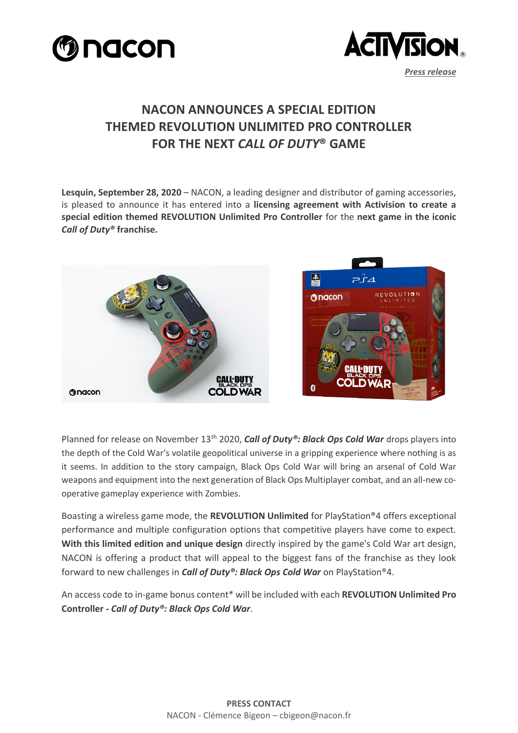



# **NACON ANNOUNCES A SPECIAL EDITION THEMED REVOLUTION UNLIMITED PRO CONTROLLER FOR THE NEXT** *CALL OF DUTY***® GAME**

**Lesquin, September 28, 2020** – NACON, a leading designer and distributor of gaming accessories, is pleased to announce it has entered into a **licensing agreement with Activision to create a special edition themed REVOLUTION Unlimited Pro Controller** for the **next game in the iconic**  *Call of Duty®* **franchise.** 



Planned for release on November 13th 2020, *Call of Duty®: Black Ops Cold War* drops players into the depth of the Cold War's volatile geopolitical universe in a gripping experience where nothing is as it seems. In addition to the story campaign, Black Ops Cold War will bring an arsenal of Cold War weapons and equipment into the next generation of Black Ops Multiplayer combat, and an all-new cooperative gameplay experience with Zombies.

Boasting a wireless game mode, the **REVOLUTION Unlimited** for PlayStation®4 offers exceptional performance and multiple configuration options that competitive players have come to expect. **With this limited edition and unique design** directly inspired by the game's Cold War art design, NACON is offering a product that will appeal to the biggest fans of the franchise as they look forward to new challenges in *Call of Duty®: Black Ops Cold War* on PlayStation®4.

An access code to in-game bonus content\* will be included with each **REVOLUTION Unlimited Pro Controller -** *Call of Duty®: Black Ops Cold War*.